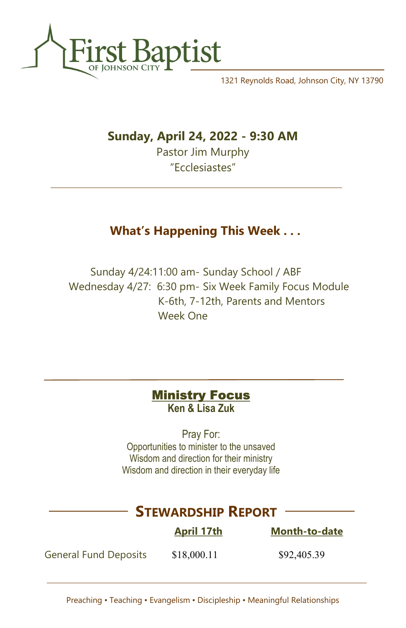

1321 Reynolds Road, Johnson City, NY 13790

## Sunday, April 24, 2022 - 9:30 AM

Pastor Jim Murphy "Ecclesiastes"

# What's Happening This Week . . .

Sunday 4/24:11:00 am- Sunday School / ABF Wednesday 4/27: 6:30 pm- Six Week Family Focus Module K-6th, 7-12th, Parents and Mentors Week One

| <b>Ministry Focus</b> |
|-----------------------|
| Ken & Lisa Zuk        |

Pray For: Opportunities to minister to the unsaved Wisdom and direction for their ministry Wisdom and direction in their everyday life

# STEWARDSHIP REPORT

April 17th Month-to-date

General Fund Deposits \$18,000.11 \$92,405.39